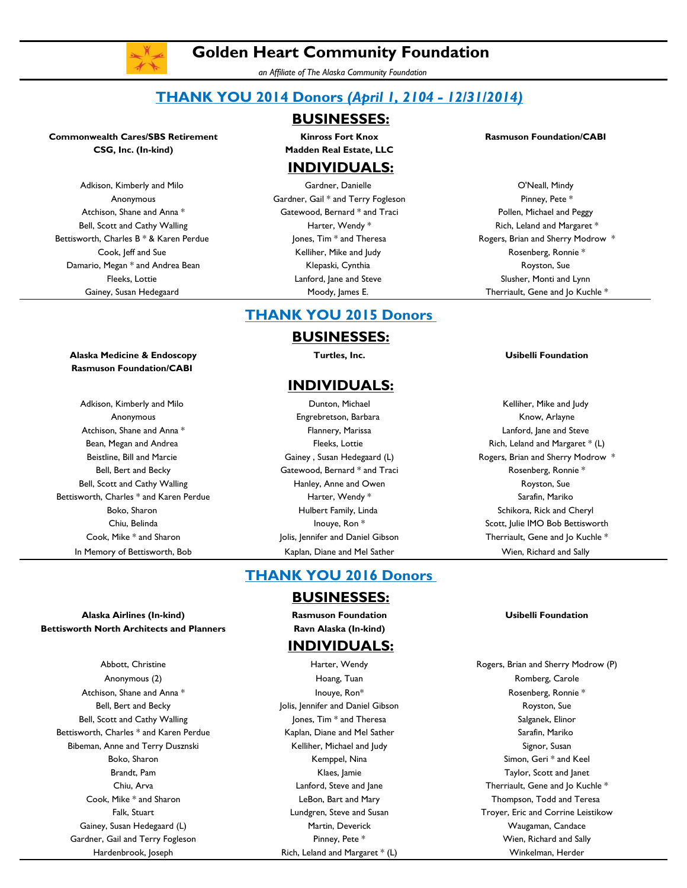

# **Golden Heart Community Foundation**

*an Affiliate of The Alaska Community Foundation*

# **THANK YOU 2014 Donors** *(April 1, 2104 - 12/31/2014)*

## **BUSINESSES:**

**CSG, Inc. (In-kind) Madden Real Estate, LLC**

# **INDIVIDUALS:**

Adkison, Kimberly and Milo Gardner, Danielle O'Neall, Mindy Anonymous **Gardner, Gail \* and Terry Fogleson** Pinney, Pete \* Pinney, Pete \* Atchison, Shane and Anna \* The Statewood, Bernard \* and Traci Traci Republic Pollen, Michael and Peggy Bell, Scott and Cathy Walling November 2011 1991 Marter, Wendy \* The Rich, Leland and Margaret \* Cook, Jeff and Sue Cook, Jeff and Sue Cook, Jeff and Sue Rosenberg, Ronnie \* Damario, Megan \* and Andrea Bean New York Henrik, Charles Klepaski, Cynthia New York and Showston, Sue Fleeks, Lottie **Election Communist Communist Communist Communist Communist Communist Communist Communist Communist Communist Communist Communist Communist Communist Communist Communist Communist Communist Communist Communi** 

### **Commonwealth Cares/SBS Retirement Results Intervention and Results Results Results Are Results Are Results Are Results Are Results Are Results Are Results Are Results Are Results Are Results Are Results Are Results Are**

Bettisworth, Charles B \* & Karen Perdue **Findition** Jones, Tim \* and Theresa **Rogers, Brian and Sherry Modrow** \* Gainey, Susan Hedegaard There are Moody, James E. Therriault, Gene and Jo Kuchle \*

### **Alaska Medicine & Endoscopy Turtles, Inc. Usibelli Foundation Rasmuson Foundation/CABI**

Atchison, Shane and Anna \* The Community of Hannery, Marissa Cammunical Community Communication, Jane and Steve Bean, Megan and Andrea Fleeks, Lottie Rich, Leland and Margaret \* (L) Bell, Scott and Cathy Walling The Manney, Anne and Owen The Theorem Royston, Sue Bettisworth, Charles \* and Karen Perdue **Harter, Wendy \*** Sarafin, Mariko Sarafin, Mariko In Memory of Bettisworth, Bob **Kaplan, Diane and Mel Sather** Wien, Richard and Sally Richard and Sally

# **THANK YOU 2015 Donors**

### **BUSINESSES:**

## **INDIVIDUALS:**

Adkison, Kimberly and Milo Dunton, Michael Kelliher, Mike and Judy Anonymous **Engrebretson, Barbara** Engrebretson, Barbara Know, Arlayne Bell, Bert and Becky **Gatewood, Bernard \* and Traci** Fraci Rosenberg, Ronnie \* Boko, Sharon **Example 2** Hulbert Family, Linda Schikora, Rick and Cheryl Boko, Sharon Schikora, Rick and Cheryl

## **THANK YOU 2016 Donors**

### **BUSINESSES:**

### **INDIVIDUALS:**

Abbott, Christine **Harter, Wendy Rogers, Brian and Sherry Modrow (P)** Rogers, Brian and Sherry Modrow (P) Anonymous (2) **Anonymous (2)** Hoang, Tuan Romberg, Carole Romberg, Carole Romberg, Carole Romberg, Carole Romberg, Carole Romberg, Carole Romberg, Carole Roman Romberg, Carole Roman Roman Roman Roman Roman Roman Roman Roma Bell, Bert and Becky **Superson Superson** Jolis, Jennifer and Daniel Gibson **Superson Superson** Royston, Sue Boko, Sharon **Kempel, Nina Simon, Geri \* and Keel** Simon, Geri \* and Keel Simon, Geri \* and Keel Brandt, Pam Klaes, Jamie Taylor, Scott and Janet Hardenbrook, Joseph Rich, Leland and Margaret \* (L) Winkelman, Herder

Beistline, Bill and Marcie **Gainey , Susan Hedegaard (L)** Rogers, Brian and Sherry Modrow \* Chiu, Belinda **International Inouge, Ron \*** Scott, Julie IMO Bob Bettisworth Cook, Mike \* and Sharon Therriault, Gene and Jolis, Jennifer and Daniel Gibson Therriault, Gene and Jo Kuchle \*

**Alaska Airlines (In-kind) Rasmuson Foundation Usibelli Foundation Bettisworth North Architects and Planners Ravn Alaska (In-kind)**

Atchison, Shane and Anna \* The Matter of the Matter of the Inouye, Ron<sup>\*</sup> **Rosenberg, Ronnie \*** Rosenberg, Ronnie \* Bell, Scott and Cathy Walling The Scott and Cathy Walling Jones, Tim  $*$  and Theresa Salganek, Elinor Salganek, Elinor Bettisworth, Charles \* and Karen Perdue Kaplan, Diane and Mel Sather Sarafin, Mariko Sarafin, Mariko Bibeman, Anne and Terry Dusznski New York Stelliher, Michael and Judy New York Signor, Susan Cook, Mike \* and Sharon LeBon, Bart and Mary Thompson, Todd and Teresa Gainey, Susan Hedegaard (L) **Martin, Deverick** Martin, Deverick Waugaman, Candace Gardner, Gail and Terry Fogleson **Pinney, Pete \*** Pinney, Pete \* Wien, Richard and Sally

Chiu, Arva **Lanford, Steve and Jane** Chiu, Arva and Jo Kuchle \* Chiu, Arva and Jo Kuchle \* Falk, Stuart Lundgren, Steve and Susan Troyer, Eric and Corrine Leistikow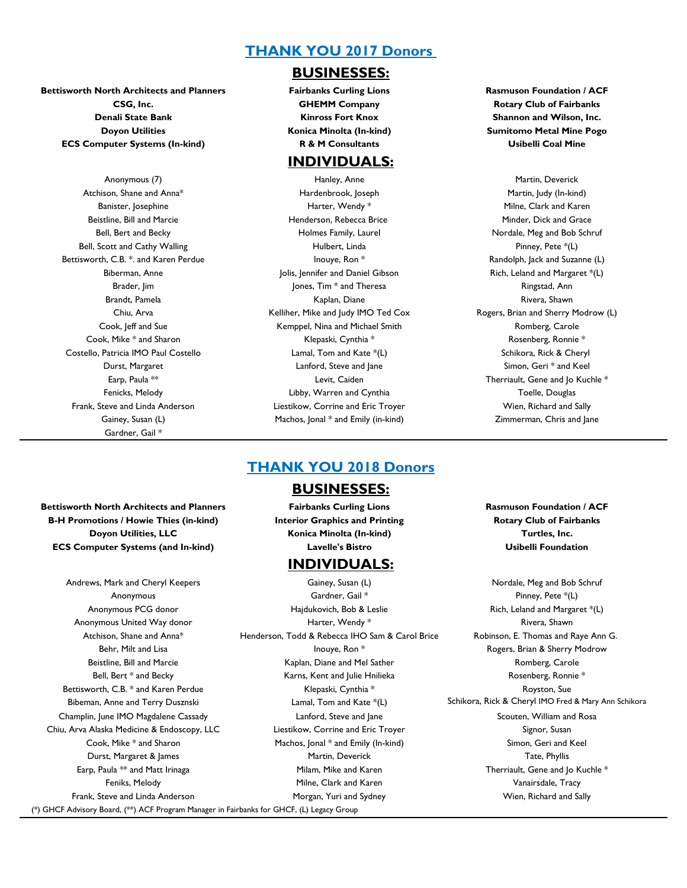## **THANK YOU 2017 Donors**

## **Bettisworth North Architects and Planners Fairbanks Curling Lions Rasmuson Foundation / ACF Denali State Bank Kinross Fort Knox Shannon and Wilson, Inc. Doyon Utilities Konica Minolta (In-kind) Sumitomo Metal Mine Pogo ECS Computer Systems (In-kind) R & M Consultants Usibelli Coal Mine**

Bettisworth, C.B. \*. and Karen Perdue **Inouye, Ron \*** Randolph, Jack and Suzanne (L) Randolph, Jack and Suzanne (L) Costello, Patricia IMO Paul Costello **Lamal, Tom and Kate \*(L)** Schikora, Rick & Cheryl Schikora, Rick & Cheryl Gardner, Gail \*

### **BUSINESSES:**

## **INDIVIDUALS:**

Anonymous (7) The Martin, Deverick Controllering Martin, Martin, Deverick Martin, Deverick Atchison, Shane and Anna<sup>\*</sup> The Martin, Judy (In-kind) Hardenbrook, Joseph Martin, Judy (In-kind) Banister, Josephine Theory of Theory Harter, Wendy \* Theory of Milne, Clark and Karen Beistline, Bill and Marcie Theorem Henderson, Rebecca Brice Theorem Minder, Dick and Grace Minder, Dick and Grace Bell, Bert and Becky **Holmes Family, Laurel Community** Holmes Family, Laurel **Nordale, Meg and Bob Schruf** Bell, Scott and Cathy Walling The Multimetric Linda Hulbert, Linda Pinney, Pete \*(L) Biberman, Anne The Stephen Holis, Jennifer and Daniel Gibson The Rich, Leland and Margaret \*(L) Brader, Jim Same Communication of the South Mones, Tim \* and Theresa Ringstad, Ann Ringstad, Ann Brandt, Pamela Kaplan, Diane Rivera, Shawn Rivera, Shawn Rivera, Shawn Rivera, Shawn Rivera, Shawn Cook, Jeff and Sue The Kemppel, Nina and Michael Smith The Romberg, Carole Romberg, Carole Cook, Mike \* and Sharon Klepaski, Cynthia \* Rosenberg, Ronnie \* Durst, Margaret Lanford, Steve and Jane Simon, Geri \* and Keel Earp, Paula  $**$  Levit, Caiden Therriault, Gene and Jo Kuchle  $*$ Fenicks, Melody **Example 2** Libby, Warren and Cynthia Toelle, Douglas Toelle, Douglas Frank, Steve and Linda Anderson Liestikow, Corrine and Eric Troyer Wien, Richard and Sally Gainey, Susan (L) **Susan (L)** Machos, Jonal \* and Emily (in-kind) **Example 2** Zimmerman, Chris and Jane

**CSG, Inc. GHEMM Company Rotary Club of Fairbanks** 

Chiu, Arva **Kelliher, Mike and Judy IMO Ted Cox** Rogers, Brian and Sherry Modrow (L) Chiu, Arva

# **Bettisworth North Architects and Planners Fairbanks Curling Lions Rasmuson Foundation / ACF B-H Promotions / Howie Thies (in-kind) Interior Graphics and Printing Rotary Club of Fairbanks Doyon Utilities, LLC Konica Minolta (In-kind) Turtles, Inc.**

Andrews, Mark and Cheryl Keepers **Gainey, Susan (L)** Gainey, Susan (L) Nordale, Meg and Bob Schruf (\*) GHCF Advisory Board, (\*\*) ACF Program Manager in Fairbanks for GHCF, (L) Legacy Group

## **THANK YOU 2018 Donors**

### **BUSINESSES:**

**ECS Computer Systems (and In-kind) Lavelle's Bistro Usibelli Foundation**

## **INDIVIDUALS:**

Anonymous **Anonymous Gardner, Gail \*** Pinney, Pete \*(L) Anonymous PCG donor **Hajdukovich, Bob & Leslie** Rich, Leland and Margaret \*(L) Anonymous United Way donor the control of the Harter, Wendy  $*$  and the control of the Rivera, Shawn Rivera, Shawn Atchison, Shane and Anna\* Henderson, Todd & Rebecca IHO Sam & Carol Brice Robinson, E. Thomas and Raye Ann G. Behr, Milt and Lisa Indian Income in the University Rome in the Rogers, Brian & Sherry Modrow Beistline, Bill and Marcie Theorem Carole Kaplan, Diane and Mel Sather Theorem Romberg, Carole Romberg, Carole Bell, Bert \* and Becky **Karns, Kent and Julie Hnilieka** Rosenberg, Ronnie \* Bettisworth, C.B. \* and Karen Perdue Theorem Controller Controller Klepaski, Cynthia \* Theorem Controller Royston, Sue Champlin, June IMO Magdalene Cassady Lanford, Steve and Jane Scouten, William and Rosa Chiu, Arva Alaska Medicine & Endoscopy, LLC Liestikow, Corrine and Eric Troyer Susan Signor, Susan Cook, Mike \* and Sharon The Machos, Ional \* and Emily (In-kind) Simon, Geri and Keel Durst, Margaret & James Martin, Deverick Tate, Phyllis Earp, Paula  $**$  and Matt Irinaga Theres are Milam, Mike and Karen Therriault, Gene and Jo Kuchle  $*$ Feniks, Melody **Example 20** Milne, Clark and Karen Vanairsdale, Tracy Frank, Steve and Linda Anderson **Morgan, Yuri and Sydney** Wien, Nichard and Sally Wien, Richard and Sally

Bibeman, Anne and Terry Dusznski **Lamal, Tom and Kate \*(L)** Schikora, Rick & Cheryl IMO Fred & Mary Ann Schikora